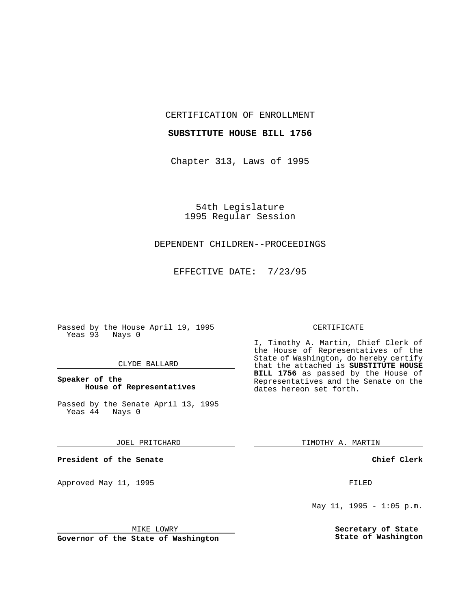CERTIFICATION OF ENROLLMENT

#### **SUBSTITUTE HOUSE BILL 1756**

Chapter 313, Laws of 1995

54th Legislature 1995 Regular Session

# DEPENDENT CHILDREN--PROCEEDINGS

EFFECTIVE DATE: 7/23/95

Passed by the House April 19, 1995 Yeas 93 Nays 0

### CLYDE BALLARD

## **Speaker of the House of Representatives**

Passed by the Senate April 13, 1995<br>Yeas 44 Nays 0  $Yeas$  44

#### JOEL PRITCHARD

**President of the Senate**

Approved May 11, 1995 FILED

#### MIKE LOWRY

**Governor of the State of Washington**

#### CERTIFICATE

I, Timothy A. Martin, Chief Clerk of the House of Representatives of the State of Washington, do hereby certify that the attached is **SUBSTITUTE HOUSE BILL 1756** as passed by the House of Representatives and the Senate on the dates hereon set forth.

TIMOTHY A. MARTIN

### **Chief Clerk**

May  $11$ ,  $1995 - 1:05$  p.m.

**Secretary of State State of Washington**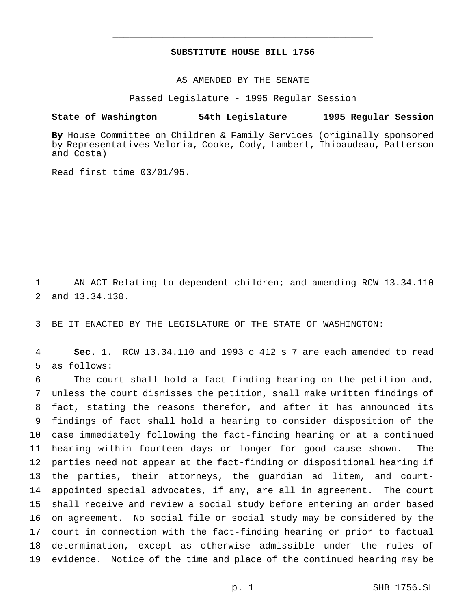## **SUBSTITUTE HOUSE BILL 1756** \_\_\_\_\_\_\_\_\_\_\_\_\_\_\_\_\_\_\_\_\_\_\_\_\_\_\_\_\_\_\_\_\_\_\_\_\_\_\_\_\_\_\_\_\_\_\_

\_\_\_\_\_\_\_\_\_\_\_\_\_\_\_\_\_\_\_\_\_\_\_\_\_\_\_\_\_\_\_\_\_\_\_\_\_\_\_\_\_\_\_\_\_\_\_

## AS AMENDED BY THE SENATE

Passed Legislature - 1995 Regular Session

#### **State of Washington 54th Legislature 1995 Regular Session**

**By** House Committee on Children & Family Services (originally sponsored by Representatives Veloria, Cooke, Cody, Lambert, Thibaudeau, Patterson and Costa)

Read first time 03/01/95.

 AN ACT Relating to dependent children; and amending RCW 13.34.110 and 13.34.130.

BE IT ENACTED BY THE LEGISLATURE OF THE STATE OF WASHINGTON:

 **Sec. 1.** RCW 13.34.110 and 1993 c 412 s 7 are each amended to read as follows:

 The court shall hold a fact-finding hearing on the petition and, unless the court dismisses the petition, shall make written findings of fact, stating the reasons therefor, and after it has announced its findings of fact shall hold a hearing to consider disposition of the case immediately following the fact-finding hearing or at a continued hearing within fourteen days or longer for good cause shown. The parties need not appear at the fact-finding or dispositional hearing if the parties, their attorneys, the guardian ad litem, and court- appointed special advocates, if any, are all in agreement. The court shall receive and review a social study before entering an order based on agreement. No social file or social study may be considered by the court in connection with the fact-finding hearing or prior to factual determination, except as otherwise admissible under the rules of evidence. Notice of the time and place of the continued hearing may be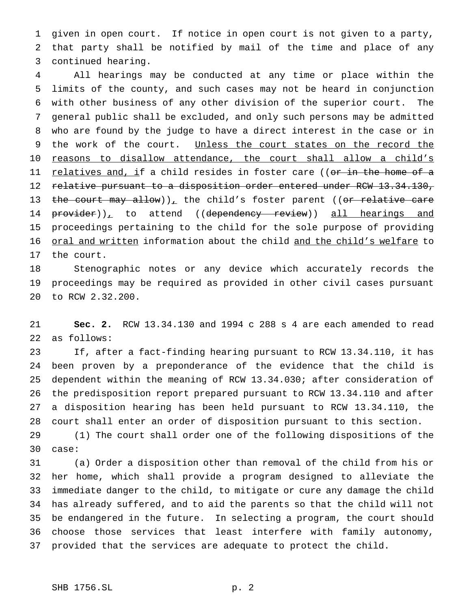given in open court. If notice in open court is not given to a party, that party shall be notified by mail of the time and place of any continued hearing.

 All hearings may be conducted at any time or place within the limits of the county, and such cases may not be heard in conjunction with other business of any other division of the superior court. The general public shall be excluded, and only such persons may be admitted who are found by the judge to have a direct interest in the case or in 9 the work of the court. Unless the court states on the record the 10 reasons to disallow attendance, the court shall allow a child's 11 <u>relatives and, i</u>f a child resides in foster care ((<del>or in the home of a</del> 12 relative pursuant to a disposition order entered under RCW 13.34.130, 13 the court may allow))<sub> $\perp$ </sub> the child's foster parent ((or relative care 14 provider)), to attend ((dependency review)) all hearings and proceedings pertaining to the child for the sole purpose of providing 16 oral and written information about the child and the child's welfare to the court.

 Stenographic notes or any device which accurately records the proceedings may be required as provided in other civil cases pursuant to RCW 2.32.200.

 **Sec. 2.** RCW 13.34.130 and 1994 c 288 s 4 are each amended to read as follows:

 If, after a fact-finding hearing pursuant to RCW 13.34.110, it has been proven by a preponderance of the evidence that the child is dependent within the meaning of RCW 13.34.030; after consideration of the predisposition report prepared pursuant to RCW 13.34.110 and after a disposition hearing has been held pursuant to RCW 13.34.110, the court shall enter an order of disposition pursuant to this section.

 (1) The court shall order one of the following dispositions of the case:

 (a) Order a disposition other than removal of the child from his or her home, which shall provide a program designed to alleviate the immediate danger to the child, to mitigate or cure any damage the child has already suffered, and to aid the parents so that the child will not be endangered in the future. In selecting a program, the court should choose those services that least interfere with family autonomy, provided that the services are adequate to protect the child.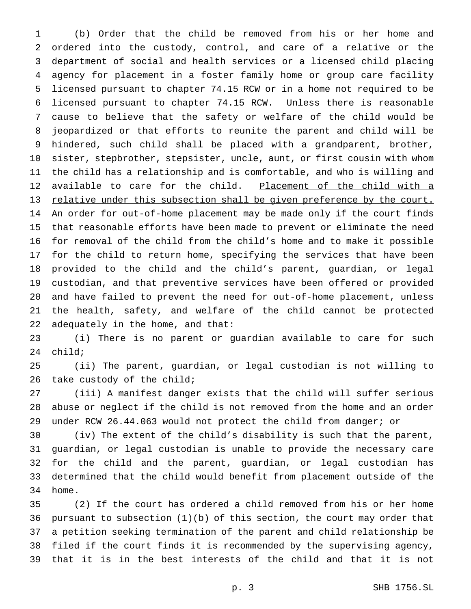(b) Order that the child be removed from his or her home and ordered into the custody, control, and care of a relative or the department of social and health services or a licensed child placing agency for placement in a foster family home or group care facility licensed pursuant to chapter 74.15 RCW or in a home not required to be licensed pursuant to chapter 74.15 RCW. Unless there is reasonable cause to believe that the safety or welfare of the child would be jeopardized or that efforts to reunite the parent and child will be hindered, such child shall be placed with a grandparent, brother, sister, stepbrother, stepsister, uncle, aunt, or first cousin with whom the child has a relationship and is comfortable, and who is willing and 12 available to care for the child. Placement of the child with a relative under this subsection shall be given preference by the court. An order for out-of-home placement may be made only if the court finds that reasonable efforts have been made to prevent or eliminate the need for removal of the child from the child's home and to make it possible for the child to return home, specifying the services that have been provided to the child and the child's parent, guardian, or legal custodian, and that preventive services have been offered or provided and have failed to prevent the need for out-of-home placement, unless the health, safety, and welfare of the child cannot be protected adequately in the home, and that:

 (i) There is no parent or guardian available to care for such child;

 (ii) The parent, guardian, or legal custodian is not willing to 26 take custody of the child;

 (iii) A manifest danger exists that the child will suffer serious abuse or neglect if the child is not removed from the home and an order under RCW 26.44.063 would not protect the child from danger; or

 (iv) The extent of the child's disability is such that the parent, guardian, or legal custodian is unable to provide the necessary care for the child and the parent, guardian, or legal custodian has determined that the child would benefit from placement outside of the home.

 (2) If the court has ordered a child removed from his or her home pursuant to subsection (1)(b) of this section, the court may order that a petition seeking termination of the parent and child relationship be filed if the court finds it is recommended by the supervising agency, that it is in the best interests of the child and that it is not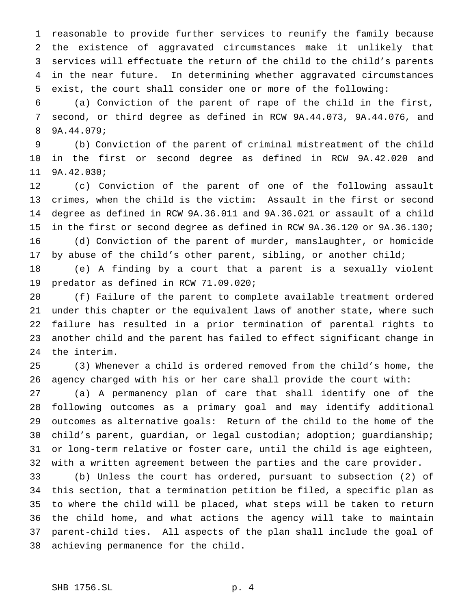reasonable to provide further services to reunify the family because the existence of aggravated circumstances make it unlikely that services will effectuate the return of the child to the child's parents in the near future. In determining whether aggravated circumstances exist, the court shall consider one or more of the following:

 (a) Conviction of the parent of rape of the child in the first, second, or third degree as defined in RCW 9A.44.073, 9A.44.076, and 9A.44.079;

 (b) Conviction of the parent of criminal mistreatment of the child in the first or second degree as defined in RCW 9A.42.020 and 9A.42.030;

 (c) Conviction of the parent of one of the following assault crimes, when the child is the victim: Assault in the first or second degree as defined in RCW 9A.36.011 and 9A.36.021 or assault of a child in the first or second degree as defined in RCW 9A.36.120 or 9A.36.130; (d) Conviction of the parent of murder, manslaughter, or homicide 17 by abuse of the child's other parent, sibling, or another child;

 (e) A finding by a court that a parent is a sexually violent predator as defined in RCW 71.09.020;

 (f) Failure of the parent to complete available treatment ordered under this chapter or the equivalent laws of another state, where such failure has resulted in a prior termination of parental rights to another child and the parent has failed to effect significant change in the interim.

 (3) Whenever a child is ordered removed from the child's home, the agency charged with his or her care shall provide the court with:

 (a) A permanency plan of care that shall identify one of the following outcomes as a primary goal and may identify additional outcomes as alternative goals: Return of the child to the home of the child's parent, guardian, or legal custodian; adoption; guardianship; or long-term relative or foster care, until the child is age eighteen, with a written agreement between the parties and the care provider.

 (b) Unless the court has ordered, pursuant to subsection (2) of this section, that a termination petition be filed, a specific plan as to where the child will be placed, what steps will be taken to return the child home, and what actions the agency will take to maintain parent-child ties. All aspects of the plan shall include the goal of achieving permanence for the child.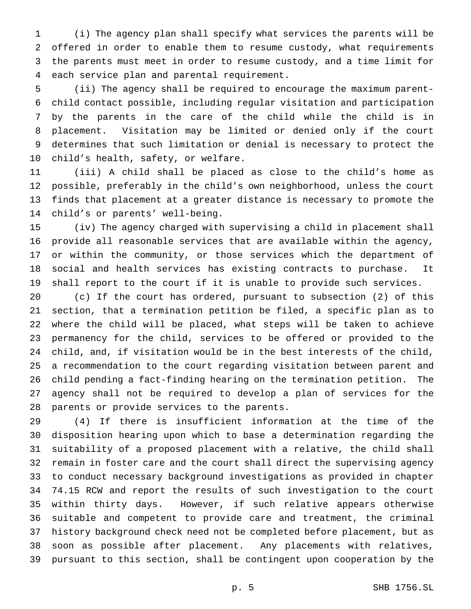(i) The agency plan shall specify what services the parents will be offered in order to enable them to resume custody, what requirements the parents must meet in order to resume custody, and a time limit for each service plan and parental requirement.

 (ii) The agency shall be required to encourage the maximum parent- child contact possible, including regular visitation and participation by the parents in the care of the child while the child is in placement. Visitation may be limited or denied only if the court determines that such limitation or denial is necessary to protect the child's health, safety, or welfare.

 (iii) A child shall be placed as close to the child's home as possible, preferably in the child's own neighborhood, unless the court finds that placement at a greater distance is necessary to promote the child's or parents' well-being.

 (iv) The agency charged with supervising a child in placement shall provide all reasonable services that are available within the agency, or within the community, or those services which the department of social and health services has existing contracts to purchase. It shall report to the court if it is unable to provide such services.

 (c) If the court has ordered, pursuant to subsection (2) of this section, that a termination petition be filed, a specific plan as to where the child will be placed, what steps will be taken to achieve permanency for the child, services to be offered or provided to the child, and, if visitation would be in the best interests of the child, a recommendation to the court regarding visitation between parent and child pending a fact-finding hearing on the termination petition. The agency shall not be required to develop a plan of services for the parents or provide services to the parents.

 (4) If there is insufficient information at the time of the disposition hearing upon which to base a determination regarding the suitability of a proposed placement with a relative, the child shall remain in foster care and the court shall direct the supervising agency to conduct necessary background investigations as provided in chapter 74.15 RCW and report the results of such investigation to the court within thirty days. However, if such relative appears otherwise suitable and competent to provide care and treatment, the criminal history background check need not be completed before placement, but as soon as possible after placement. Any placements with relatives, pursuant to this section, shall be contingent upon cooperation by the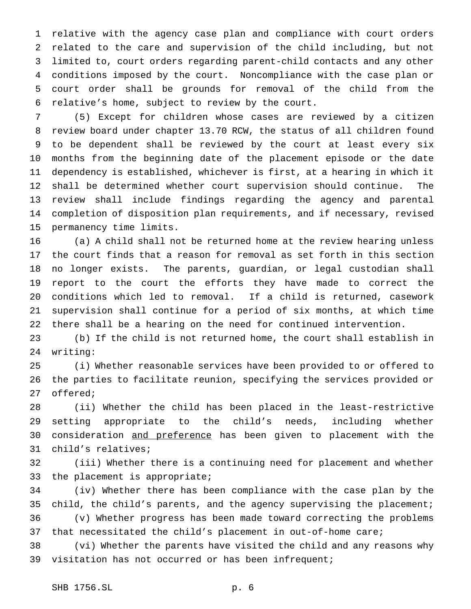relative with the agency case plan and compliance with court orders related to the care and supervision of the child including, but not limited to, court orders regarding parent-child contacts and any other conditions imposed by the court. Noncompliance with the case plan or court order shall be grounds for removal of the child from the relative's home, subject to review by the court.

 (5) Except for children whose cases are reviewed by a citizen review board under chapter 13.70 RCW, the status of all children found to be dependent shall be reviewed by the court at least every six months from the beginning date of the placement episode or the date dependency is established, whichever is first, at a hearing in which it shall be determined whether court supervision should continue. The review shall include findings regarding the agency and parental completion of disposition plan requirements, and if necessary, revised permanency time limits.

 (a) A child shall not be returned home at the review hearing unless the court finds that a reason for removal as set forth in this section no longer exists. The parents, guardian, or legal custodian shall report to the court the efforts they have made to correct the conditions which led to removal. If a child is returned, casework supervision shall continue for a period of six months, at which time there shall be a hearing on the need for continued intervention.

 (b) If the child is not returned home, the court shall establish in writing:

 (i) Whether reasonable services have been provided to or offered to the parties to facilitate reunion, specifying the services provided or offered;

 (ii) Whether the child has been placed in the least-restrictive setting appropriate to the child's needs, including whether 30 consideration and preference has been given to placement with the child's relatives;

 (iii) Whether there is a continuing need for placement and whether the placement is appropriate;

 (iv) Whether there has been compliance with the case plan by the child, the child's parents, and the agency supervising the placement; (v) Whether progress has been made toward correcting the problems that necessitated the child's placement in out-of-home care;

 (vi) Whether the parents have visited the child and any reasons why visitation has not occurred or has been infrequent;